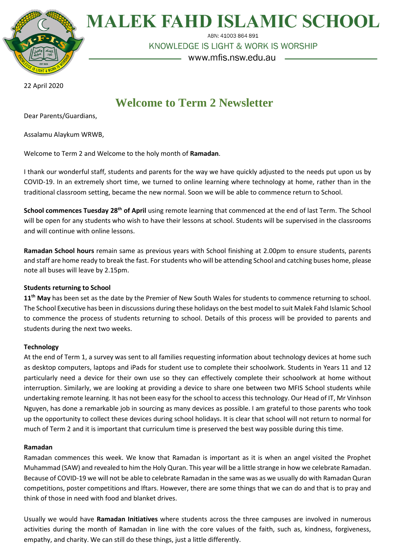

**MALEK FAHD ISLAMIC SCHOOL** 

ABN: 41003 864 891

KNOWLEDGE IS LIGHT & WORK IS WORSHIP

www.mfis.nsw.edu.au

22 April 2020

# **Welcome to Term 2 Newsletter**

Dear Parents/Guardians,

Assalamu Alaykum WRWB,

Welcome to Term 2 and Welcome to the holy month of **Ramadan**.

I thank our wonderful staff, students and parents for the way we have quickly adjusted to the needs put upon us by COVID-19. In an extremely short time, we turned to online learning where technology at home, rather than in the traditional classroom setting, became the new normal. Soon we will be able to commence return to School.

**School commences Tuesday 28th of April** using remote learning that commenced at the end of last Term. The School will be open for any students who wish to have their lessons at school. Students will be supervised in the classrooms and will continue with online lessons.

**Ramadan School hours** remain same as previous years with School finishing at 2.00pm to ensure students, parents and staff are home ready to break the fast. For students who will be attending School and catching buses home, please note all buses will leave by 2.15pm.

## **Students returning to School**

11<sup>th</sup> May has been set as the date by the Premier of New South Wales for students to commence returning to school. The School Executive has been in discussions during these holidays on the best model to suit Malek Fahd Islamic School to commence the process of students returning to school. Details of this process will be provided to parents and students during the next two weeks.

## **Technology**

At the end of Term 1, a survey was sent to all families requesting information about technology devices at home such as desktop computers, laptops and iPads for student use to complete their schoolwork. Students in Years 11 and 12 particularly need a device for their own use so they can effectively complete their schoolwork at home without interruption. Similarly, we are looking at providing a device to share one between two MFIS School students while undertaking remote learning. It has not been easy for the school to access this technology. Our Head of IT, Mr Vinhson Nguyen, has done a remarkable job in sourcing as many devices as possible. I am grateful to those parents who took up the opportunity to collect these devices during school holidays. It is clear that school will not return to normal for much of Term 2 and it is important that curriculum time is preserved the best way possible during this time.

#### **Ramadan**

Ramadan commences this week. We know that Ramadan is important as it is when an angel visited the Prophet Muhammad (SAW) and revealed to him the Holy Quran. This year will be a little strange in how we celebrate Ramadan. Because of COVID-19 we will not be able to celebrate Ramadan in the same was as we usually do with Ramadan Quran competitions, poster competitions and Iftars. However, there are some things that we can do and that is to pray and think of those in need with food and blanket drives.

Usually we would have **Ramadan Initiatives** where students across the three campuses are involved in numerous activities during the month of Ramadan in line with the core values of the faith, such as, kindness, forgiveness, empathy, and charity. We can still do these things, just a little differently.